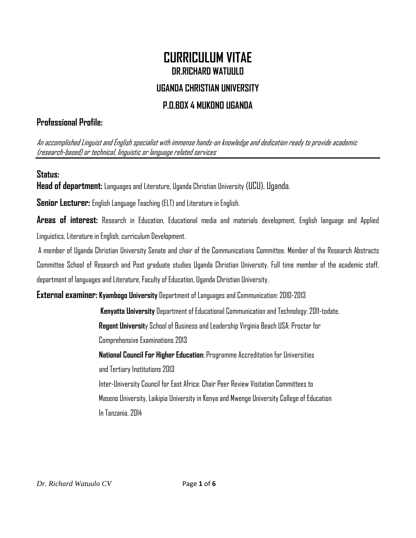# **CURRICULUM VITAE DR.RICHARD WATUULO**

# **UGANDA CHRISTIAN UNIVERSITY**

# **P.O.BOX 4 MUKONO UGANDA**

# **Professional Profile:**

An accomplished Linguist and English specialist with immense hands-on knowledge and dedication ready to provide academic (research-based) or technical, linguistic or language related services

## **Status:**

**Head of department:** Languages and Literature, Uganda Christian University (UCU), Uganda.

**Senior Lecturer:** English Language Teaching (ELT) and Literature in English.

**Areas of interest:** Research in Education, Educational media and materials development, English language and Applied Linguistics, Literature in English, curriculum Development.

A member of Uganda Christian University Senate and chair of the Communications Committee. Member of the Research Abstracts Committee School of Research and Post graduate studies Uganda Christian University. Full time member of the academic staff, department of languages and Literature, Faculty of Education, Uganda Christian University.

**External examiner: Kyambogo University** Department of Languages and Communication:2010-2013

 **Kenyatta University** Department of Educational Communication and Technology:2011-todate. **Regent Universit**y School of Business and Leadership Virginia Beach USA: Proctor for Comprehensive Examinations 2013 **National Council For Higher Education:** Programme Accreditation for Universities and Tertiary Institutions 2013 Inter-University Council for East Africa: Chair Peer Review Visitation Committees to Maseno University, Laikipia University in Kenya and Mwenge University College of Education

In Tanzania. 2014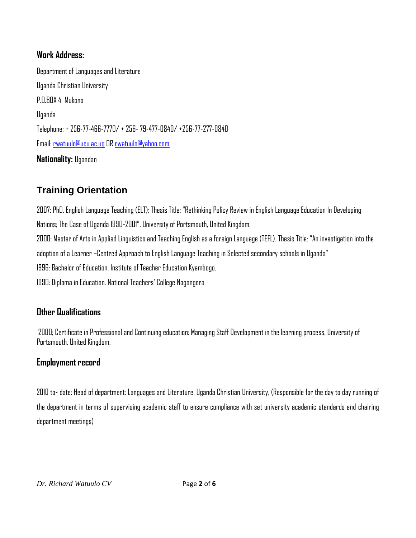## **Work Address:**

Department of Languages and Literature Uganda Christian University P.O.BOX 4 Mukono Uganda Telephone: + 256-77-466-7770/ + 256- 79-477-0840/ +256-77-277-0840 Email[: rwatuulo@ucu.ac.ug](mailto:rwatuulo@ucu.ac.ug) OR [rwatuulo@yahoo.com](mailto:rwatuulo@yahoo.com) **Nationality:** Ugandan

# **Training Orientation**

2007: PhD. English Language Teaching (ELT): Thesis Title: "Rethinking Policy Review in English Language Education In Developing Nations; The Case of Uganda 1990-2001". University of Portsmouth, United Kingdom. 2000: Master of Arts in Applied Linguistics and Teaching English as a foreign Language (TEFL). Thesis Title: "An investigation into the adoption of a Learner –Centred Approach to English Language Teaching in Selected secondary schools in Uganda" 1996: Bachelor of Education. Institute of Teacher Education Kyambogo. 1990: Diploma in Education. National Teachers' College Nagongera

## **Other Qualifications**

2000; Certificate in Professional and Continuing education: Managing Staff Development in the learning process, University of Portsmouth, United Kingdom.

### **Employment record**

2010 to- date: Head of department: Languages and Literature, Uganda Christian University, (Responsible for the day to day running of the department in terms of supervising academic staff to ensure compliance with set university academic standards and chairing department meetings)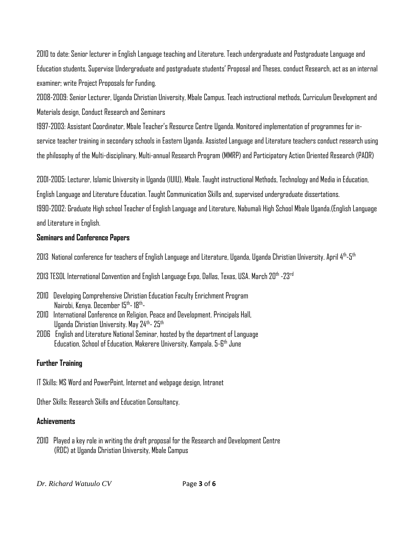2010 to date: Senior lecturer in English Language teaching and Literature. Teach undergraduate and Postgraduate Language and Education students, Supervise Undergraduate and postgraduate students' Proposal and Theses, conduct Research, act as an internal examiner; write Project Proposals for Funding.

2008-2009: Senior Lecturer, Uganda Christian University, Mbale Campus. Teach instructional methods, Curriculum Development and Materials design, Conduct Research and Seminars

1997-2003: Assistant Coordinator, Mbale Teacher's Resource Centre Uganda. Monitored implementation of programmes for inservice teacher training in secondary schools in Eastern Uganda. Assisted Language and Literature teachers conduct research using the philosophy of the Multi-disciplinary, Multi-annual Research Program (MMRP) and Participatory Action Oriented Research (PAOR)

2001-2005: Lecturer, Islamic University in Uganda (IUIU), Mbale. Taught instructional Methods, Technology and Media in Education,

English Language and Literature Education. Taught Communication Skills and, supervised undergraduate dissertations.

1990-2002: Graduate High school Teacher of English Language and Literature, Nabumali High School Mbale Uganda.(English Language and Literature in English.

#### **Seminars and Conference Papers**

2013 National conference for teachers of English Language and Literature, Uganda, Uganda Christian University. April 4<sup>th</sup>-5<sup>th</sup>

2013 TESOL International Convention and English Language Expo, Dallas, Texas, USA. March 20th -23rd

- 2010 Developing Comprehensive Christian Education Faculty Enrichment Program Nairobi, Kenya. December 15<sup>th</sup>- 18<sup>th</sup>-
- 2010 International Conference on Religion, Peace and Development. Principals Hall, Uganda Christian University. May 24<sup>th</sup>- 25<sup>th</sup>
- 2006 English and Literature National Seminar, hosted by the department of Language Education, School of Education, Makerere University, Kampala. 5-6<sup>th</sup> June

#### **Further Training**

IT Skills: MS Word and PowerPoint, Internet and webpage design, Intranet

Other Skills: Research Skills and Education Consultancy.

#### **Achievements**

2010 Played a key role in writing the draft proposal for the Research and Development Centre (RDC) at Uganda Christian University, Mbale Campus

*Dr. Richard Watuulo CV* Page **3** of **6**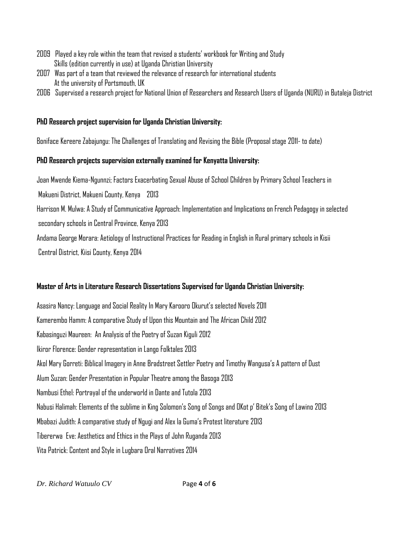- 2009 Played a key role within the team that revised a students' workbook for Writing and Study Skills (edition currently in use) at Uganda Christian University
- 2007 Was part of a team that reviewed the relevance of research for international students At the university of Portsmouth, UK
- 2006 Supervised a research project for National Union of Researchers and Research Users of Uganda (NURU) in Butaleja District

#### **PhD Research project supervision for Uganda Christian University:**

Boniface Kereere Zabajungu: The Challenges of Translating and Revising the Bible (Proposal stage 2011- to date)

#### **PhD Research projects supervision externally examined for Kenyatta University:**

Joan Mwende Kiema-Ngunnzi; Factors Exacerbating Sexual Abuse of School Children by Primary School Teachers in Makueni District, Makueni County, Kenya 2013 Harrison M. Mulwa: A Study of Communicative Approach: Implementation and Implications on French Pedagogy in selected secondary schools in Central Province, Kenya 2013 Andama George Morara: Aetiology of Instructional Practices for Reading in English in Rural primary schools in Kisii Central District, Kiisi County, Kenya 2014

#### **Master of Arts in Literature Research Dissertations Supervised for Uganda Christian University:**

Asasira Nancy: Language and Social Reality In Mary Karooro Okurut's selected Novels 2011 Kamerembo Hamm: A comparative Study of Upon this Mountain and The African Child 2012 Kabasinguzi Maureen: An Analysis of the Poetry of Suzan Kiguli 2012 Ikiror Florence: Gender representation in Lango Folktales 2013 Akol Mary Gorreti: Biblical Imagery in Anne Bradstreet Settler Poetry and Timothy Wangusa's A pattern of Dust Alum Suzan: Gender Presentation in Popular Theatre among the Basoga 2013 Nambusi Ethel: Portrayal of the underworld in Dante and Tutola 2013 Nabusi Halimah: Elements of the sublime in King Solomon's Song of Songs and OKot p' Bitek's Song of Lawino 2013 Mbabazi Judith: A comparative study of Ngugi and Alex la Guma's Protest literature 2013 Tibererwa Eve: Aesthetics and Ethics in the Plays of John Ruganda 2013 Vita Patrick: Content and Style in Lugbara Oral Narratives 2014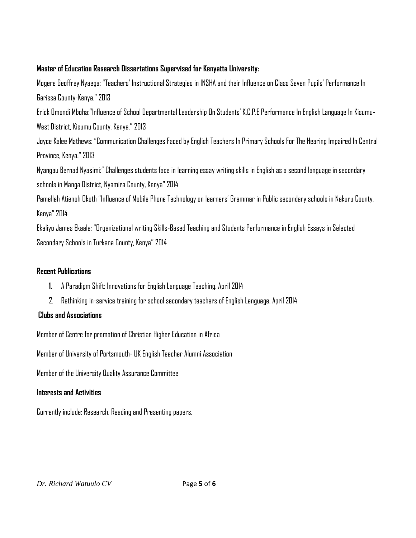#### **Master of Education Research Dissertations Supervised for Kenyatta University:**

Mogere Geoffrey Nyaega: "Teachers' Instructional Strategies in INSHA and their Influence on Class Seven Pupils' Performance In Garissa County-Kenya."2013

Erick Omondi Mboha:"Influence of School Departmental Leadership On Students' K.C.P.E Performance In English Language In Kisumu-West District, Kisumu County, Kenya." 2013

Joyce Kalee Mathews: "Communication Challenges Faced by English Teachers In Primary Schools For The Hearing Impaired In Central Province, Kenya." 2013

Nyangau Bernad Nyasimi:" Challenges students face in learning essay writing skills in English as a second language in secondary schools in Manga District, Nyamira County, Kenya" 2014

Pamellah Atienoh Okoth "Influence of Mobile Phone Technology on learners' Grammar in Public secondary schools in Nakuru County, Kenya" 2014

Ekaliyo James Ekaale: "Organizational writing Skills-Based Teaching and Students Performance in English Essays in Selected Secondary Schools in Turkana County, Kenya" 2014

#### **Recent Publications**

- **1.** A Paradigm Shift: Innovations for English Language Teaching. April 2014
- 2. Rethinking in-service training for school secondary teachers of English Language. April 2014

#### **Clubs and Associations**

Member of Centre for promotion of Christian Higher Education in Africa

Member of University of Portsmouth- UK English Teacher Alumni Association

Member of the University Quality Assurance Committee

#### **Interests and Activities**

Currently include: Research, Reading and Presenting papers.